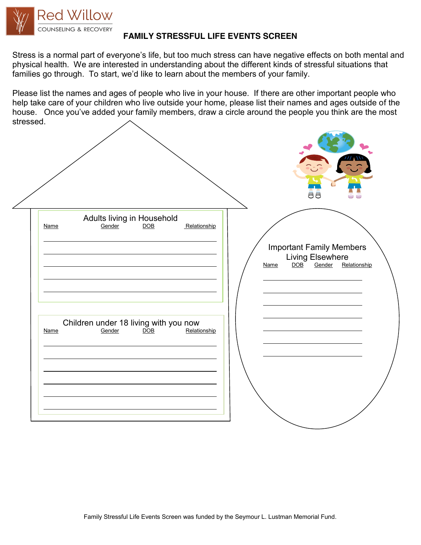

## **FAMILY STRESSFUL LIFE EVENTS SCREEN**

Stress is a normal part of everyone's life, but too much stress can have negative effects on both mental and physical health. We are interested in understanding about the different kinds of stressful situations that families go through. To start, we'd like to learn about the members of your family.

Please list the names and ages of people who live in your house. If there are other important people who help take care of your children who live outside your home, please list their names and ages outside of the house. Once you've added your family members, draw a circle around the people you think are the most stressed.

|             |                                                                     |              |      | 88                                                                   |              |
|-------------|---------------------------------------------------------------------|--------------|------|----------------------------------------------------------------------|--------------|
| <b>Name</b> | Adults living in Household<br><u>Gender</u> <u>DOB</u>              | Relationship | Name | <b>Important Family Members</b><br>Living Elsewhere<br>DOB<br>Gender | Relationship |
| <b>Name</b> | Children under 18 living with you now<br>Gender<br>$\overline{DOB}$ | Relationship |      |                                                                      |              |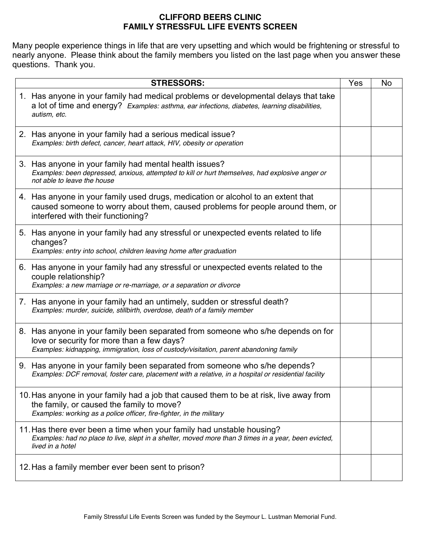## **CLIFFORD BEERS CLINIC FAMILY STRESSFUL LIFE EVENTS SCREEN**

Many people experience things in life that are very upsetting and which would be frightening or stressful to nearly anyone. Please think about the family members you listed on the last page when you answer these questions. Thank you.

| <b>STRESSORS:</b>                                                                                                                                                                                                         | Yes | No |
|---------------------------------------------------------------------------------------------------------------------------------------------------------------------------------------------------------------------------|-----|----|
| 1. Has anyone in your family had medical problems or developmental delays that take<br>a lot of time and energy? Examples: asthma, ear infections, diabetes, learning disabilities,<br>autism, etc.                       |     |    |
| 2. Has anyone in your family had a serious medical issue?<br>Examples: birth defect, cancer, heart attack, HIV, obesity or operation                                                                                      |     |    |
| 3. Has anyone in your family had mental health issues?<br>Examples: been depressed, anxious, attempted to kill or hurt themselves, had explosive anger or<br>not able to leave the house                                  |     |    |
| 4. Has anyone in your family used drugs, medication or alcohol to an extent that<br>caused someone to worry about them, caused problems for people around them, or<br>interfered with their functioning?                  |     |    |
| 5. Has anyone in your family had any stressful or unexpected events related to life<br>changes?<br>Examples: entry into school, children leaving home after graduation                                                    |     |    |
| 6. Has anyone in your family had any stressful or unexpected events related to the<br>couple relationship?<br>Examples: a new marriage or re-marriage, or a separation or divorce                                         |     |    |
| 7. Has anyone in your family had an untimely, sudden or stressful death?<br>Examples: murder, suicide, stillbirth, overdose, death of a family member                                                                     |     |    |
| 8. Has anyone in your family been separated from someone who s/he depends on for<br>love or security for more than a few days?<br>Examples: kidnapping, immigration, loss of custody/visitation, parent abandoning family |     |    |
| 9. Has anyone in your family been separated from someone who s/he depends?<br>Examples: DCF removal, foster care, placement with a relative, in a hospital or residential facility                                        |     |    |
| 10. Has anyone in your family had a job that caused them to be at risk, live away from<br>the family, or caused the family to move?<br>Examples: working as a police officer, fire-fighter, in the military               |     |    |
| 11. Has there ever been a time when your family had unstable housing?<br>Examples: had no place to live, slept in a shelter, moved more than 3 times in a year, been evicted,<br>lived in a hotel                         |     |    |
| 12. Has a family member ever been sent to prison?                                                                                                                                                                         |     |    |